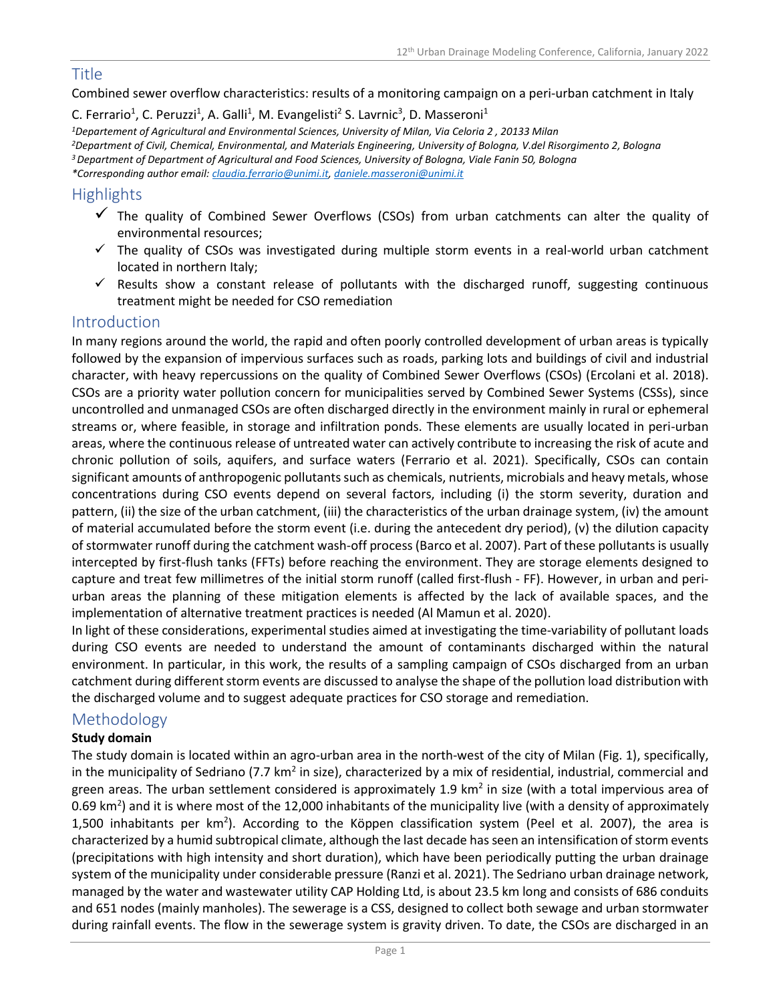## Title

### Combined sewer overflow characteristics: results of a monitoring campaign on a peri-urban catchment in Italy

C. Ferrario<sup>1</sup>, C. Peruzzi<sup>1</sup>, A. Galli<sup>1</sup>, M. Evangelisti<sup>2</sup> S. Lavrnic<sup>3</sup>, D. Masseroni<sup>1</sup> *<sup>1</sup>Departement of Agricultural and Environmental Sciences, University of Milan, Via Celoria 2 , 20133 Milan <sup>2</sup>Department of Civil, Chemical, Environmental, and Materials Engineering, University of Bologna, V.del Risorgimento 2, Bologna <sup>3</sup>Department of Department of Agricultural and Food Sciences, University of Bologna, Viale Fanin 50, Bologna \*Corresponding author email[: claudia.ferrario@unimi.it,](mailto:claudia.ferrario@unimi.it) [daniele.masseroni@unimi.it](mailto:daniele.masseroni@unimi.it)*

# **Highlights**

- ✓ The quality of Combined Sewer Overflows (CSOs) from urban catchments can alter the quality of environmental resources;
- $\checkmark$  The quality of CSOs was investigated during multiple storm events in a real-world urban catchment located in northern Italy;
- $\checkmark$  Results show a constant release of pollutants with the discharged runoff, suggesting continuous treatment might be needed for CSO remediation

## Introduction

In many regions around the world, the rapid and often poorly controlled development of urban areas is typically followed by the expansion of impervious surfaces such as roads, parking lots and buildings of civil and industrial character, with heavy repercussions on the quality of Combined Sewer Overflows (CSOs) (Ercolani et al. 2018). CSOs are a priority water pollution concern for municipalities served by Combined Sewer Systems (CSSs), since uncontrolled and unmanaged CSOs are often discharged directly in the environment mainly in rural or ephemeral streams or, where feasible, in storage and infiltration ponds. These elements are usually located in peri-urban areas, where the continuous release of untreated water can actively contribute to increasing the risk of acute and chronic pollution of soils, aquifers, and surface waters (Ferrario et al. 2021). Specifically, CSOs can contain significant amounts of anthropogenic pollutants such as chemicals, nutrients, microbials and heavy metals, whose concentrations during CSO events depend on several factors, including (i) the storm severity, duration and pattern, (ii) the size of the urban catchment, (iii) the characteristics of the urban drainage system, (iv) the amount of material accumulated before the storm event (i.e. during the antecedent dry period), (v) the dilution capacity of stormwater runoff during the catchment wash-off process (Barco et al. 2007). Part of these pollutants is usually intercepted by first-flush tanks (FFTs) before reaching the environment. They are storage elements designed to capture and treat few millimetres of the initial storm runoff (called first-flush - FF). However, in urban and periurban areas the planning of these mitigation elements is affected by the lack of available spaces, and the implementation of alternative treatment practices is needed (Al Mamun et al. 2020).

In light of these considerations, experimental studies aimed at investigating the time-variability of pollutant loads during CSO events are needed to understand the amount of contaminants discharged within the natural environment. In particular, in this work, the results of a sampling campaign of CSOs discharged from an urban catchment during different storm events are discussed to analyse the shape of the pollution load distribution with the discharged volume and to suggest adequate practices for CSO storage and remediation.

# Methodology

## **Study domain**

The study domain is located within an agro-urban area in the north-west of the city of Milan (Fig. 1), specifically, in the municipality of Sedriano (7.7 km<sup>2</sup> in size), characterized by a mix of residential, industrial, commercial and green areas. The urban settlement considered is approximately 1.9 km<sup>2</sup> in size (with a total impervious area of 0.69 km<sup>2</sup>) and it is where most of the 12,000 inhabitants of the municipality live (with a density of approximately 1,500 inhabitants per km<sup>2</sup>). According to the Köppen classification system (Peel et al. 2007), the area is characterized by a humid subtropical climate, although the last decade has seen an intensification of storm events (precipitations with high intensity and short duration), which have been periodically putting the urban drainage system of the municipality under considerable pressure (Ranzi et al. 2021). The Sedriano urban drainage network, managed by the water and wastewater utility CAP Holding Ltd, is about 23.5 km long and consists of 686 conduits and 651 nodes (mainly manholes). The sewerage is a CSS, designed to collect both sewage and urban stormwater during rainfall events. The flow in the sewerage system is gravity driven. To date, the CSOs are discharged in an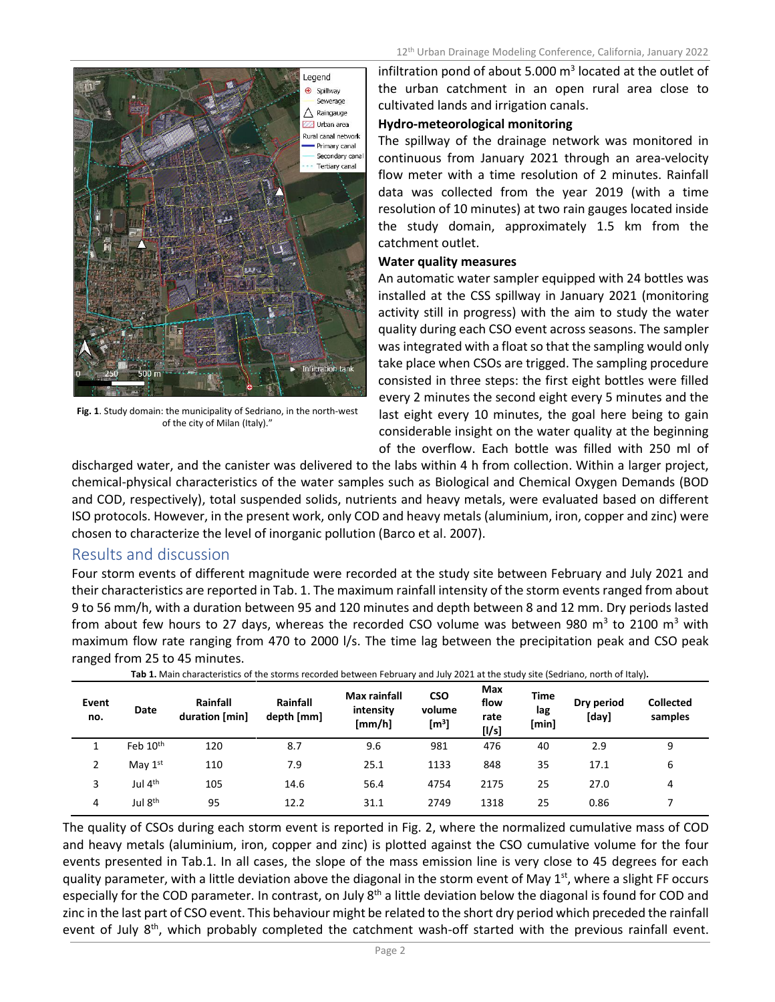

**Fig. 1**. Study domain: the municipality of Sedriano, in the north-west of the city of Milan (Italy)."

infiltration pond of about 5.000  $m^3$  located at the outlet of the urban catchment in an open rural area close to cultivated lands and irrigation canals.

#### **Hydro-meteorological monitoring**

The spillway of the drainage network was monitored in continuous from January 2021 through an area-velocity flow meter with a time resolution of 2 minutes. Rainfall data was collected from the year 2019 (with a time resolution of 10 minutes) at two rain gauges located inside the study domain, approximately 1.5 km from the catchment outlet.

#### **Water quality measures**

An automatic water sampler equipped with 24 bottles was installed at the CSS spillway in January 2021 (monitoring activity still in progress) with the aim to study the water quality during each CSO event across seasons. The sampler was integrated with a float so that the sampling would only take place when CSOs are trigged. The sampling procedure consisted in three steps: the first eight bottles were filled every 2 minutes the second eight every 5 minutes and the last eight every 10 minutes, the goal here being to gain considerable insight on the water quality at the beginning of the overflow. Each bottle was filled with 250 ml of

discharged water, and the canister was delivered to the labs within 4 h from collection. Within a larger project, chemical-physical characteristics of the water samples such as Biological and Chemical Oxygen Demands (BOD and COD, respectively), total suspended solids, nutrients and heavy metals, were evaluated based on different ISO protocols. However, in the present work, only COD and heavy metals (aluminium, iron, copper and zinc) were chosen to characterize the level of inorganic pollution (Barco et al. 2007).

## Results and discussion

Four storm events of different magnitude were recorded at the study site between February and July 2021 and their characteristics are reported in Tab. 1. The maximum rainfall intensity of the storm events ranged from about 9 to 56 mm/h, with a duration between 95 and 120 minutes and depth between 8 and 12 mm. Dry periods lasted from about few hours to 27 days, whereas the recorded CSO volume was between 980 m<sup>3</sup> to 2100 m<sup>3</sup> with maximum flow rate ranging from 470 to 2000 l/s. The time lag between the precipitation peak and CSO peak ranged from 25 to 45 minutes.

| Event<br>no.   | Date                | Rainfall<br>duration [min] | Rainfall<br>depth [mm] | Max rainfall<br>intensity<br>[mm/h] | <b>CSO</b><br>volume<br>[m <sup>3</sup> ] | Max<br>flow<br>rate<br>[1/s] | <b>Time</b><br>lag<br>[min] | Dry period<br>[day] | . .<br><b>Collected</b><br>samples |
|----------------|---------------------|----------------------------|------------------------|-------------------------------------|-------------------------------------------|------------------------------|-----------------------------|---------------------|------------------------------------|
|                | Feb 10th            | 120                        | 8.7                    | 9.6                                 | 981                                       | 476                          | 40                          | 2.9                 | 9                                  |
| $\overline{2}$ | May $1st$           | 110                        | 7.9                    | 25.1                                | 1133                                      | 848                          | 35                          | 17.1                | 6                                  |
| 3              | Jul 4 <sup>th</sup> | 105                        | 14.6                   | 56.4                                | 4754                                      | 2175                         | 25                          | 27.0                | 4                                  |
| 4              | Jul 8 <sup>th</sup> | 95                         | 12.2                   | 31.1                                | 2749                                      | 1318                         | 25                          | 0.86                |                                    |

**Tab 1.** Main characteristics of the storms recorded between February and July 2021 at the study site (Sedriano, north of Italy)**.**

The quality of CSOs during each storm event is reported in Fig. 2, where the normalized cumulative mass of COD and heavy metals (aluminium, iron, copper and zinc) is plotted against the CSO cumulative volume for the four events presented in Tab.1. In all cases, the slope of the mass emission line is very close to 45 degrees for each quality parameter, with a little deviation above the diagonal in the storm event of May 1<sup>st</sup>, where a slight FF occurs especially for the COD parameter. In contrast, on July 8<sup>th</sup> a little deviation below the diagonal is found for COD and zinc in the last part of CSO event. This behaviour might be related to the short dry period which preceded the rainfall event of July 8<sup>th</sup>, which probably completed the catchment wash-off started with the previous rainfall event.